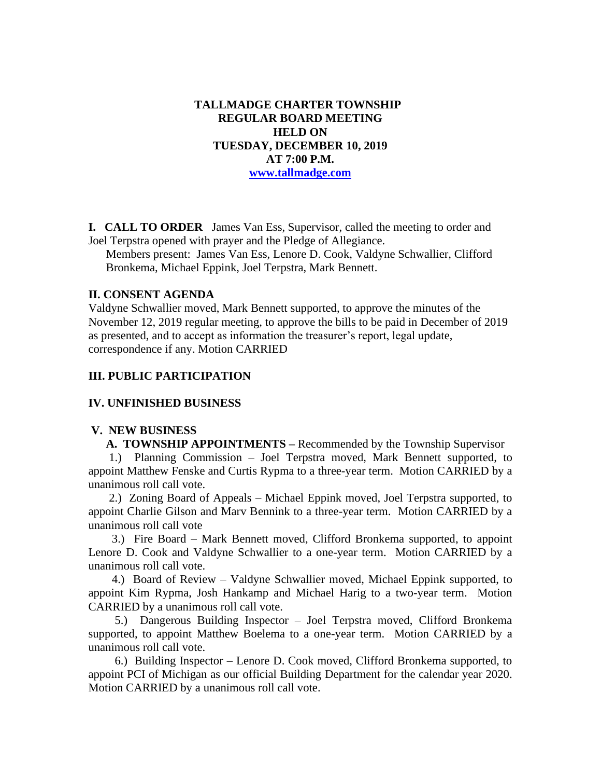**TALLMADGE CHARTER TOWNSHIP REGULAR BOARD MEETING HELD ON TUESDAY, DECEMBER 10, 2019 AT 7:00 P.M. [www.tallmadge.com](http://www.tallmadge.com/)**

**I. CALL TO ORDER** James Van Ess, Supervisor, called the meeting to order and Joel Terpstra opened with prayer and the Pledge of Allegiance.

Members present: James Van Ess, Lenore D. Cook, Valdyne Schwallier, Clifford Bronkema, Michael Eppink, Joel Terpstra, Mark Bennett.

### **II. CONSENT AGENDA**

Valdyne Schwallier moved, Mark Bennett supported, to approve the minutes of the November 12, 2019 regular meeting, to approve the bills to be paid in December of 2019 as presented, and to accept as information the treasurer's report, legal update, correspondence if any. Motion CARRIED

## **III. PUBLIC PARTICIPATION**

### **IV. UNFINISHED BUSINESS**

### **V. NEW BUSINESS**

 **A. TOWNSHIP APPOINTMENTS –** Recommended by the Township Supervisor

 1.) Planning Commission – Joel Terpstra moved, Mark Bennett supported, to appoint Matthew Fenske and Curtis Rypma to a three-year term. Motion CARRIED by a unanimous roll call vote.

 2.) Zoning Board of Appeals – Michael Eppink moved, Joel Terpstra supported, to appoint Charlie Gilson and Marv Bennink to a three-year term. Motion CARRIED by a unanimous roll call vote

 3.) Fire Board – Mark Bennett moved, Clifford Bronkema supported, to appoint Lenore D. Cook and Valdyne Schwallier to a one-year term. Motion CARRIED by a unanimous roll call vote.

 4.) Board of Review – Valdyne Schwallier moved, Michael Eppink supported, to appoint Kim Rypma, Josh Hankamp and Michael Harig to a two-year term. Motion CARRIED by a unanimous roll call vote.

 5.) Dangerous Building Inspector – Joel Terpstra moved, Clifford Bronkema supported, to appoint Matthew Boelema to a one-year term. Motion CARRIED by a unanimous roll call vote.

 6.) Building Inspector – Lenore D. Cook moved, Clifford Bronkema supported, to appoint PCI of Michigan as our official Building Department for the calendar year 2020. Motion CARRIED by a unanimous roll call vote.